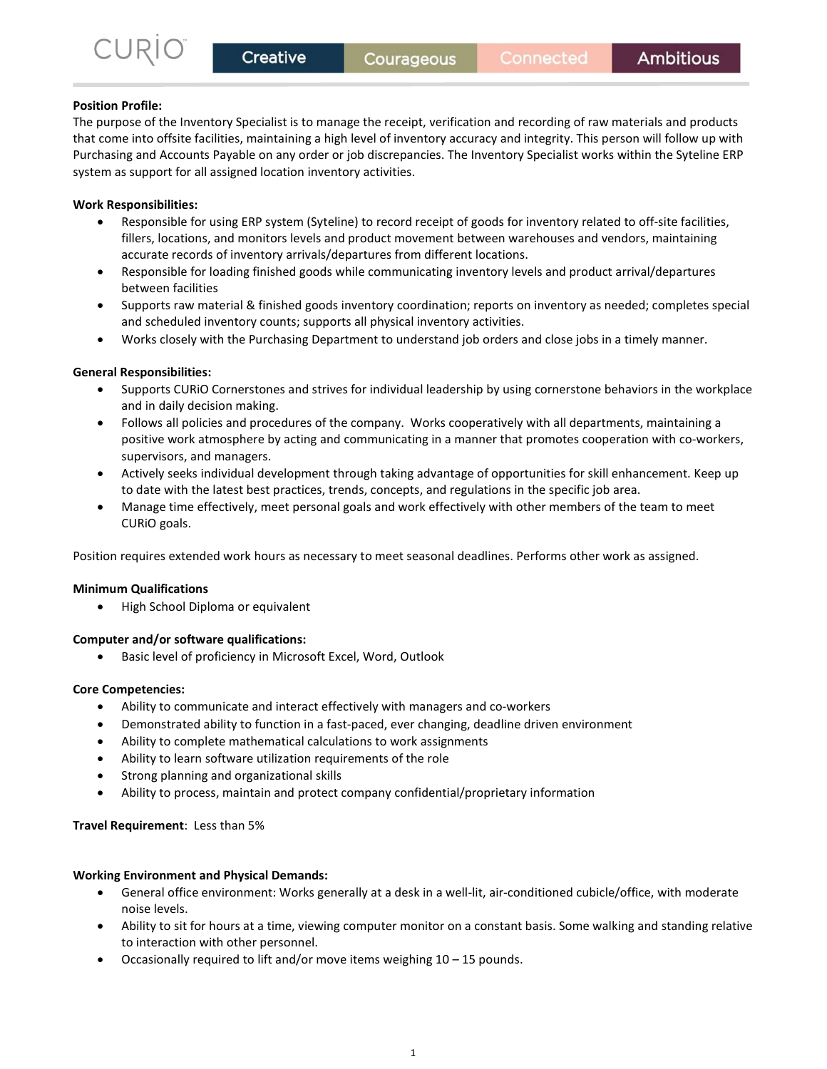## Position Profile:

The purpose of the Inventory Specialist is to manage the receipt, verification and recording of raw materials and products that come into offsite facilities, maintaining a high level of inventory accuracy and integrity. This person will follow up with Purchasing and Accounts Payable on any order or job discrepancies. The Inventory Specialist works within the Syteline ERP system as support for all assigned location inventory activities.

# Work Responsibilities:

- Responsible for using ERP system (Syteline) to record receipt of goods for inventory related to off-site facilities, fillers, locations, and monitors levels and product movement between warehouses and vendors, maintaining accurate records of inventory arrivals/departures from different locations.
- Responsible for loading finished goods while communicating inventory levels and product arrival/departures between facilities
- Supports raw material & finished goods inventory coordination; reports on inventory as needed; completes special and scheduled inventory counts; supports all physical inventory activities.
- Works closely with the Purchasing Department to understand job orders and close jobs in a timely manner.

## General Responsibilities:

- Supports CURiO Cornerstones and strives for individual leadership by using cornerstone behaviors in the workplace and in daily decision making.
- Follows all policies and procedures of the company. Works cooperatively with all departments, maintaining a positive work atmosphere by acting and communicating in a manner that promotes cooperation with co-workers, supervisors, and managers.
- Actively seeks individual development through taking advantage of opportunities for skill enhancement. Keep up to date with the latest best practices, trends, concepts, and regulations in the specific job area.
- Manage time effectively, meet personal goals and work effectively with other members of the team to meet CURiO goals.

Position requires extended work hours as necessary to meet seasonal deadlines. Performs other work as assigned.

## Minimum Qualifications

• High School Diploma or equivalent

## Computer and/or software qualifications:

Basic level of proficiency in Microsoft Excel, Word, Outlook

### Core Competencies:

- Ability to communicate and interact effectively with managers and co-workers
- Demonstrated ability to function in a fast-paced, ever changing, deadline driven environment
- Ability to complete mathematical calculations to work assignments
- Ability to learn software utilization requirements of the role
- Strong planning and organizational skills
- Ability to process, maintain and protect company confidential/proprietary information

Travel Requirement: Less than 5%

### Working Environment and Physical Demands:

- General office environment: Works generally at a desk in a well-lit, air-conditioned cubicle/office, with moderate noise levels.
- Ability to sit for hours at a time, viewing computer monitor on a constant basis. Some walking and standing relative to interaction with other personnel.
- Occasionally required to lift and/or move items weighing 10 15 pounds.